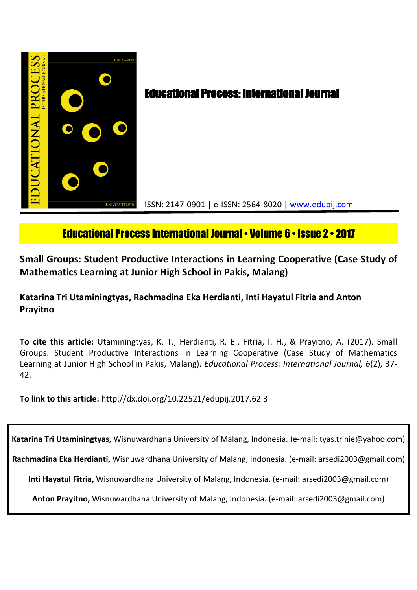

# Educational Process International Journal• Volume 6 • Issue 2 • **2017**

**Small Groups: Student Productive Interactions in Learning Cooperative (Case Study of Mathematics Learning at Junior High School in Pakis, Malang)**

**Katarina Tri Utaminingtyas, Rachmadina Eka Herdianti, Inti Hayatul Fitria and Anton Prayitno**

**To cite this article:** Utaminingtyas, K. T., Herdianti, R. E., Fitria, I. H., & Prayitno, A. (2017). Small Groups: Student Productive Interactions in Learning Cooperative (Case Study of Mathematics Learning at Junior High School in Pakis, Malang). *Educational Process: International Journal, 6*(2), 37- 42.

**To link to this article:** http://dx.doi.org/10.22521/edupij.2017.62.3

**Katarina Tri Utaminingtyas,** Wisnuwardhana University of Malang, Indonesia. (e-mail: tyas.trinie@yahoo.com)

**Rachmadina Eka Herdianti,** Wisnuwardhana University of Malang, Indonesia. (e-mail: arsedi2003@gmail.com)

**Inti Hayatul Fitria,** Wisnuwardhana University of Malang, Indonesia. (e-mail: arsedi2003@gmail.com)

**Anton Prayitno,** Wisnuwardhana University of Malang, Indonesia. (e-mail: arsedi2003@gmail.com)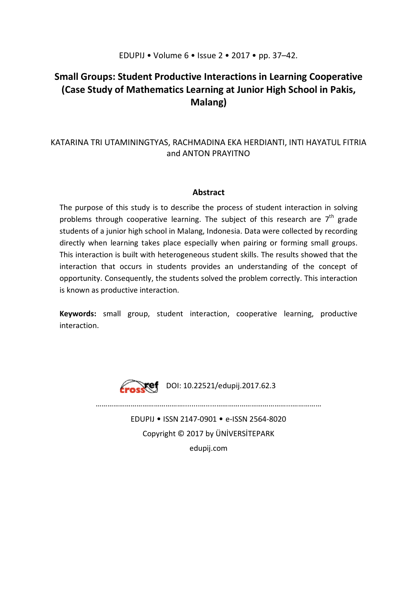## EDUPIJ • Volume 6 • Issue 2 • 2017 • pp. 37–42.

## **Small Groups: Student Productive Interactions in Learning Cooperative (Case Study of Mathematics Learning at Junior High School in Pakis, Malang)**

## KATARINA TRI UTAMININGTYAS, RACHMADINA EKA HERDIANTI, INTI HAYATUL FITRIA and ANTON PRAYITNO

## **Abstract**

The purpose of this study is to describe the process of student interaction in solving problems through cooperative learning. The subject of this research are  $7<sup>th</sup>$  grade students of a junior high school in Malang, Indonesia. Data were collected by recording directly when learning takes place especially when pairing or forming small groups. This interaction is built with heterogeneous student skills. The results showed that the interaction that occurs in students provides an understanding of the concept of opportunity. Consequently, the students solved the problem correctly. This interaction is known as productive interaction.

**Keywords:** small group, student interaction, cooperative learning, productive interaction.



Frosket DOI: 10.22521/edupij.2017.62.3

………………………………………........….....………………………………...……………

EDUPIJ • ISSN 2147-0901 • e-ISSN 2564-8020 Copyright © 2017 by ÜNİVERSİTEPARK

edupij.com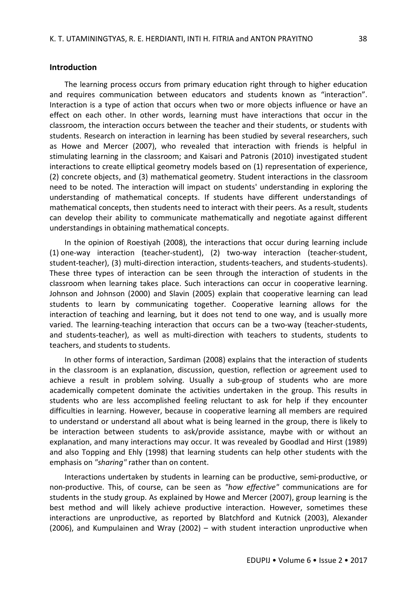#### **Introduction**

The learning process occurs from primary education right through to higher education and requires communication between educators and students known as "interaction". Interaction is a type of action that occurs when two or more objects influence or have an effect on each other. In other words, learning must have interactions that occur in the classroom, the interaction occurs between the teacher and their students, or students with students. Research on interaction in learning has been studied by several researchers, such as Howe and Mercer (2007), who revealed that interaction with friends is helpful in stimulating learning in the classroom; and Kaisari and Patronis (2010) investigated student interactions to create elliptical geometry models based on (1) representation of experience, (2) concrete objects, and (3) mathematical geometry. Student interactions in the classroom need to be noted. The interaction will impact on students' understanding in exploring the understanding of mathematical concepts. If students have different understandings of mathematical concepts, then students need to interact with their peers. As a result, students can develop their ability to communicate mathematically and negotiate against different understandings in obtaining mathematical concepts.

In the opinion of Roestiyah (2008), the interactions that occur during learning include (1) one-way interaction (teacher-student), (2) two-way interaction (teacher-student, student-teacher), (3) multi-direction interaction, students-teachers, and students-students). These three types of interaction can be seen through the interaction of students in the classroom when learning takes place. Such interactions can occur in cooperative learning. Johnson and Johnson (2000) and Slavin (2005) explain that cooperative learning can lead students to learn by communicating together. Cooperative learning allows for the interaction of teaching and learning, but it does not tend to one way, and is usually more varied. The learning-teaching interaction that occurs can be a two-way (teacher-students, and students-teacher), as well as multi-direction with teachers to students, students to teachers, and students to students.

In other forms of interaction, Sardiman (2008) explains that the interaction of students in the classroom is an explanation, discussion, question, reflection or agreement used to achieve a result in problem solving. Usually a sub-group of students who are more academically competent dominate the activities undertaken in the group. This results in students who are less accomplished feeling reluctant to ask for help if they encounter difficulties in learning. However, because in cooperative learning all members are required to understand or understand all about what is being learned in the group, there is likely to be interaction between students to ask/provide assistance, maybe with or without an explanation, and many interactions may occur. It was revealed by Goodlad and Hirst (1989) and also Topping and Ehly (1998) that learning students can help other students with the emphasis on *"sharing"* rather than on content.

Interactions undertaken by students in learning can be productive, semi-productive, or non-productive. This, of course, can be seen as *"how effective"* communications are for students in the study group. As explained by Howe and Mercer (2007), group learning is the best method and will likely achieve productive interaction. However, sometimes these interactions are unproductive, as reported by Blatchford and Kutnick (2003), Alexander (2006), and Kumpulainen and Wray (2002) – with student interaction unproductive when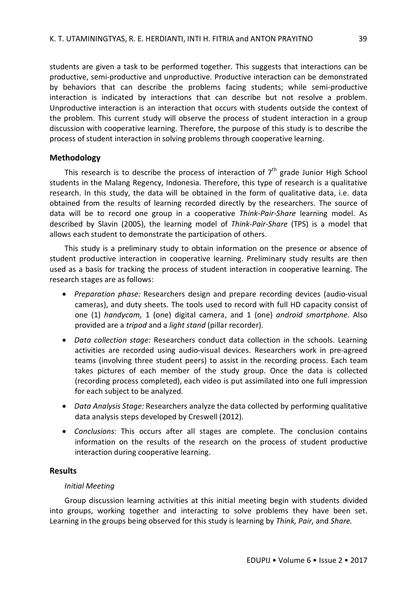students are given a task to be performed together. This suggests that interactions can be productive, semi-productive and unproductive. Productive interaction can be demonstrated by behaviors that can describe the problems facing students; while semi-productive interaction is indicated by interactions that can describe but not resolve a problem. Unproductive interaction is an interaction that occurs with students outside the context of the problem. This current study will observe the process of student interaction in a group discussion with cooperative learning. Therefore, the purpose of this study is to describe the process of student interaction in solving problems through cooperative learning.

### **Methodology**

This research is to describe the process of interaction of  $7<sup>th</sup>$  grade Junior High School students in the Malang Regency, Indonesia. Therefore, this type of research is a qualitative research. In this study, the data will be obtained in the form of qualitative data, i.e. data obtained from the results of learning recorded directly by the researchers. The source of data will be to record one group in a cooperative *Think-Pair-Share* learning model. As described by Slavin (2005), the learning model of *Think-Pair-Share* (TPS) is a model that allows each student to demonstrate the participation of others.

This study is a preliminary study to obtain information on the presence or absence of student productive interaction in cooperative learning. Preliminary study results are then used as a basis for tracking the process of student interaction in cooperative learning. The research stages are as follows:

- *Preparation phase:* Researchers design and prepare recording devices (audio-visual cameras), and duty sheets. The tools used to record with full HD capacity consist of one (1) *handycam,* 1 (one) digital camera, and 1 (one) *android smartphone*. Also provided are a *tripod* and a *light stand* (pillar recorder).
- *Data collection stage:* Researchers conduct data collection in the schools. Learning activities are recorded using audio-visual devices. Researchers work in pre-agreed teams (involving three student peers) to assist in the recording process. Each team takes pictures of each member of the study group. Once the data is collected (recording process completed), each video is put assimilated into one full impression for each subject to be analyzed.
- *Data Analysis Stage:* Researchers analyze the data collected by performing qualitative data analysis steps developed by Creswell (2012).
- *Conclusions:* This occurs after all stages are complete. The conclusion contains information on the results of the research on the process of student productive interaction during cooperative learning.

## **Results**

#### *Initial Meeting*

Group discussion learning activities at this initial meeting begin with students divided into groups, working together and interacting to solve problems they have been set. Learning in the groups being observed for this study is learning by *Think, Pair,* and *Share.*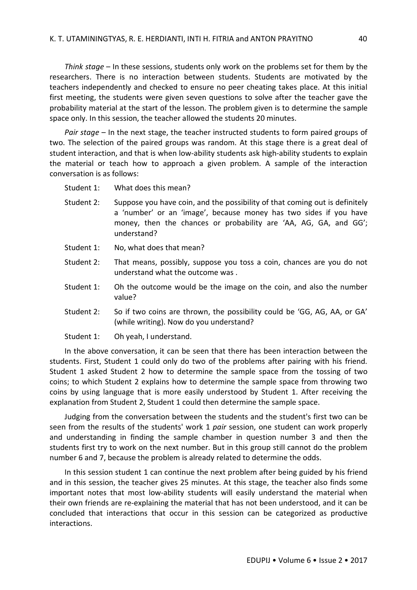*Think stage* – In these sessions, students only work on the problems set for them by the researchers. There is no interaction between students. Students are motivated by the teachers independently and checked to ensure no peer cheating takes place. At this initial first meeting, the students were given seven questions to solve after the teacher gave the probability material at the start of the lesson. The problem given is to determine the sample space only. In this session, the teacher allowed the students 20 minutes.

*Pair stage* – In the next stage, the teacher instructed students to form paired groups of two. The selection of the paired groups was random. At this stage there is a great deal of student interaction, and that is when low-ability students ask high-ability students to explain the material or teach how to approach a given problem. A sample of the interaction conversation is as follows:

- Student 1: What does this mean?
- Student 2: Suppose you have coin, and the possibility of that coming out is definitely a 'number' or an 'image', because money has two sides if you have money, then the chances or probability are 'AA, AG, GA, and GG'; understand?
- Student 1: No, what does that mean?
- Student 2: That means, possibly, suppose you toss a coin, chances are you do not understand what the outcome was .
- Student 1: Oh the outcome would be the image on the coin, and also the number value?
- Student 2: So if two coins are thrown, the possibility could be 'GG, AG, AA, or GA' (while writing). Now do you understand?
- Student 1: Oh yeah, I understand.

In the above conversation, it can be seen that there has been interaction between the students. First, Student 1 could only do two of the problems after pairing with his friend. Student 1 asked Student 2 how to determine the sample space from the tossing of two coins; to which Student 2 explains how to determine the sample space from throwing two coins by using language that is more easily understood by Student 1. After receiving the explanation from Student 2, Student 1 could then determine the sample space.

Judging from the conversation between the students and the student's first two can be seen from the results of the students' work 1 *pair* session, one student can work properly and understanding in finding the sample chamber in question number 3 and then the students first try to work on the next number. But in this group still cannot do the problem number 6 and 7, because the problem is already related to determine the odds.

In this session student 1 can continue the next problem after being guided by his friend and in this session, the teacher gives 25 minutes. At this stage, the teacher also finds some important notes that most low-ability students will easily understand the material when their own friends are re-explaining the material that has not been understood, and it can be concluded that interactions that occur in this session can be categorized as productive interactions.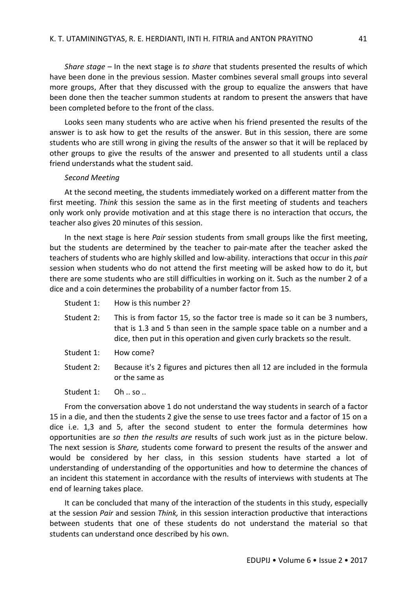*Share stage* – In the next stage is *to share* that students presented the results of which have been done in the previous session. Master combines several small groups into several more groups, After that they discussed with the group to equalize the answers that have been done then the teacher summon students at random to present the answers that have been completed before to the front of the class.

Looks seen many students who are active when his friend presented the results of the answer is to ask how to get the results of the answer. But in this session, there are some students who are still wrong in giving the results of the answer so that it will be replaced by other groups to give the results of the answer and presented to all students until a class friend understands what the student said.

#### *Second Meeting*

At the second meeting, the students immediately worked on a different matter from the first meeting. *Think* this session the same as in the first meeting of students and teachers only work only provide motivation and at this stage there is no interaction that occurs, the teacher also gives 20 minutes of this session.

In the next stage is here *Pair* session students from small groups like the first meeting, but the students are determined by the teacher to pair-mate after the teacher asked the teachers of students who are highly skilled and low-ability. interactions that occur in this *pair* session when students who do not attend the first meeting will be asked how to do it, but there are some students who are still difficulties in working on it. Such as the number 2 of a dice and a coin determines the probability of a number factor from 15.

- Student 1: How is this number 2?
- Student 2: This is from factor 15, so the factor tree is made so it can be 3 numbers, that is 1.3 and 5 than seen in the sample space table on a number and a dice, then put in this operation and given curly brackets so the result.
- Student 1: How come?
- Student 2: Because it's 2 figures and pictures then all 12 are included in the formula or the same as
- Student 1: Oh .. so ..

From the conversation above 1 do not understand the way students in search of a factor 15 in a die, and then the students 2 give the sense to use trees factor and a factor of 15 on a dice i.e. 1,3 and 5, after the second student to enter the formula determines how opportunities are *so then the results are* results of such work just as in the picture below. The next session is *Share,* students come forward to present the results of the answer and would be considered by her class, in this session students have started a lot of understanding of understanding of the opportunities and how to determine the chances of an incident this statement in accordance with the results of interviews with students at The end of learning takes place.

It can be concluded that many of the interaction of the students in this study, especially at the session *Pair* and session *Think,* in this session interaction productive that interactions between students that one of these students do not understand the material so that students can understand once described by his own.